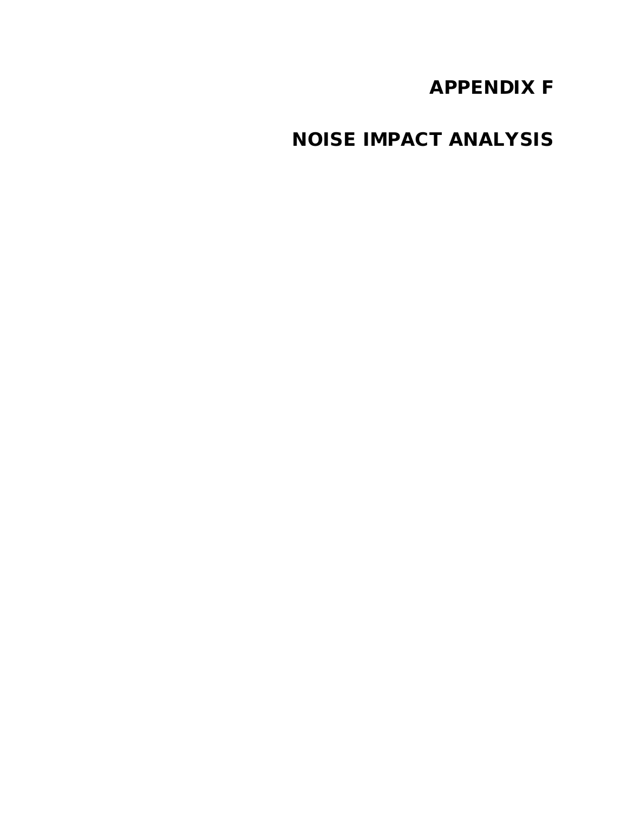# APPENDIX F

NOISE IMPACT ANALYSIS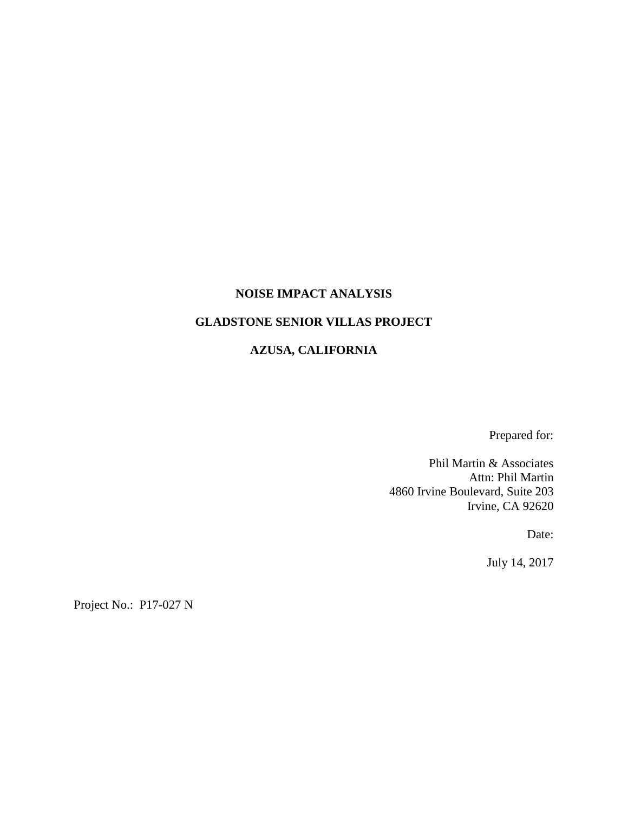#### **NOISE IMPACT ANALYSIS**

## **GLADSTONE SENIOR VILLAS PROJECT**

#### **AZUSA, CALIFORNIA**

Prepared for:

Phil Martin & Associates Attn: Phil Martin 4860 Irvine Boulevard, Suite 203 Irvine, CA 92620

Date:

July 14, 2017

Project No.: P17-027 N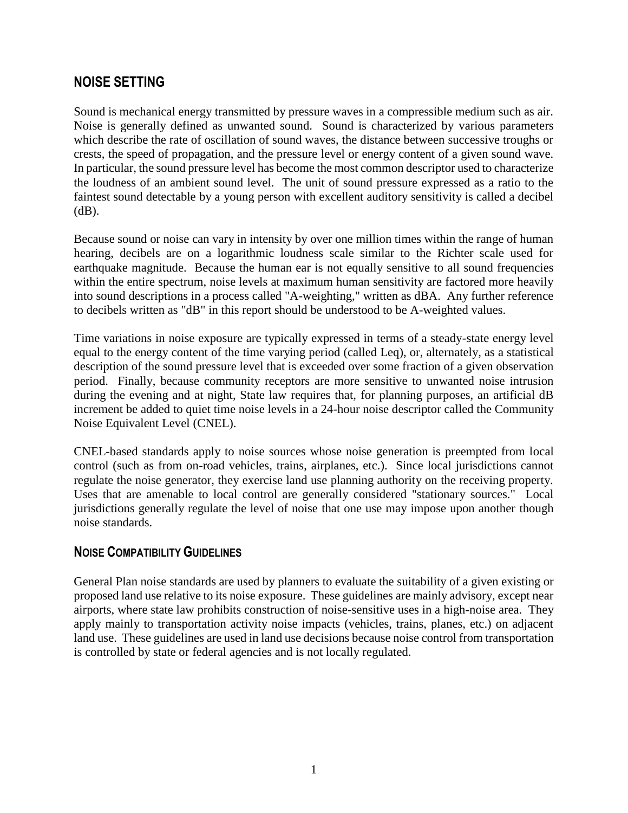# **NOISE SETTING**

Sound is mechanical energy transmitted by pressure waves in a compressible medium such as air. Noise is generally defined as unwanted sound. Sound is characterized by various parameters which describe the rate of oscillation of sound waves, the distance between successive troughs or crests, the speed of propagation, and the pressure level or energy content of a given sound wave. In particular, the sound pressure level has become the most common descriptor used to characterize the loudness of an ambient sound level. The unit of sound pressure expressed as a ratio to the faintest sound detectable by a young person with excellent auditory sensitivity is called a decibel  $(dB)$ .

Because sound or noise can vary in intensity by over one million times within the range of human hearing, decibels are on a logarithmic loudness scale similar to the Richter scale used for earthquake magnitude. Because the human ear is not equally sensitive to all sound frequencies within the entire spectrum, noise levels at maximum human sensitivity are factored more heavily into sound descriptions in a process called "A-weighting," written as dBA. Any further reference to decibels written as "dB" in this report should be understood to be A-weighted values.

Time variations in noise exposure are typically expressed in terms of a steady-state energy level equal to the energy content of the time varying period (called Leq), or, alternately, as a statistical description of the sound pressure level that is exceeded over some fraction of a given observation period. Finally, because community receptors are more sensitive to unwanted noise intrusion during the evening and at night, State law requires that, for planning purposes, an artificial dB increment be added to quiet time noise levels in a 24-hour noise descriptor called the Community Noise Equivalent Level (CNEL).

CNEL-based standards apply to noise sources whose noise generation is preempted from local control (such as from on-road vehicles, trains, airplanes, etc.). Since local jurisdictions cannot regulate the noise generator, they exercise land use planning authority on the receiving property. Uses that are amenable to local control are generally considered "stationary sources." Local jurisdictions generally regulate the level of noise that one use may impose upon another though noise standards.

# **NOISE COMPATIBILITY GUIDELINES**

General Plan noise standards are used by planners to evaluate the suitability of a given existing or proposed land use relative to its noise exposure. These guidelines are mainly advisory, except near airports, where state law prohibits construction of noise-sensitive uses in a high-noise area. They apply mainly to transportation activity noise impacts (vehicles, trains, planes, etc.) on adjacent land use. These guidelines are used in land use decisions because noise control from transportation is controlled by state or federal agencies and is not locally regulated.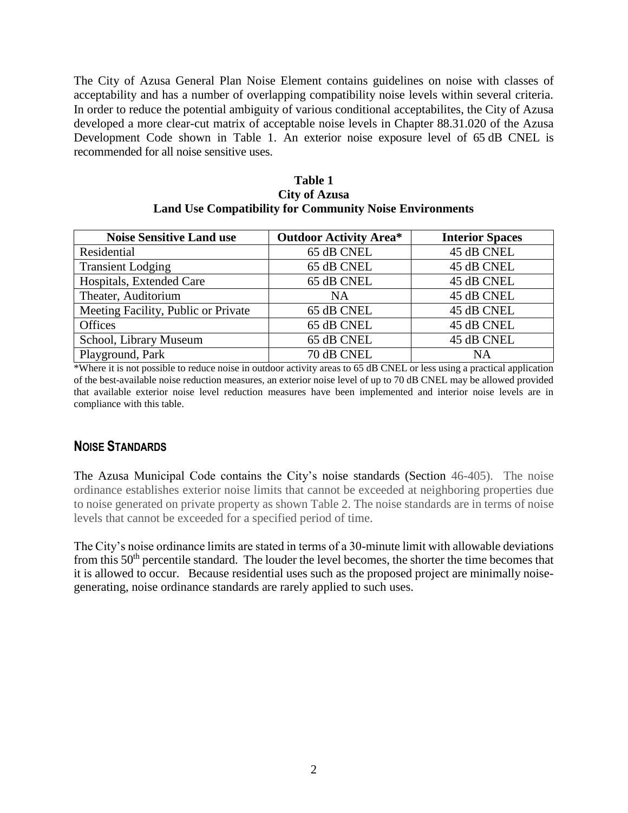The City of Azusa General Plan Noise Element contains guidelines on noise with classes of acceptability and has a number of overlapping compatibility noise levels within several criteria. In order to reduce the potential ambiguity of various conditional acceptabilites, the City of Azusa developed a more clear-cut matrix of acceptable noise levels in Chapter 88.31.020 of the Azusa Development Code shown in Table 1. An exterior noise exposure level of 65 dB CNEL is recommended for all noise sensitive uses.

| Table 1                                                        |
|----------------------------------------------------------------|
| <b>City of Azusa</b>                                           |
| <b>Land Use Compatibility for Community Noise Environments</b> |

| <b>Noise Sensitive Land use</b>     | <b>Outdoor Activity Area*</b> | <b>Interior Spaces</b> |  |
|-------------------------------------|-------------------------------|------------------------|--|
| Residential                         | 65 dB CNEL                    | 45 dB CNEL             |  |
| <b>Transient Lodging</b>            | 65 dB CNEL                    | 45 dB CNEL             |  |
| Hospitals, Extended Care            | 65 dB CNEL                    | 45 dB CNEL             |  |
| Theater, Auditorium                 | <b>NA</b>                     | 45 dB CNEL             |  |
| Meeting Facility, Public or Private | 65 dB CNEL                    | 45 dB CNEL             |  |
| <b>Offices</b>                      | 65 dB CNEL                    | 45 dB CNEL             |  |
| School, Library Museum              | 65 dB CNEL                    | 45 dB CNEL             |  |
| Playground, Park                    | 70 dB CNEL                    | NA                     |  |

\*Where it is not possible to reduce noise in outdoor activity areas to 65 dB CNEL or less using a practical application of the best-available noise reduction measures, an exterior noise level of up to 70 dB CNEL may be allowed provided that available exterior noise level reduction measures have been implemented and interior noise levels are in compliance with this table.

### **NOISE STANDARDS**

The Azusa Municipal Code contains the City's noise standards (Section 46-405). The noise ordinance establishes exterior noise limits that cannot be exceeded at neighboring properties due to noise generated on private property as shown Table 2. The noise standards are in terms of noise levels that cannot be exceeded for a specified period of time.

The City's noise ordinance limits are stated in terms of a 30-minute limit with allowable deviations from this  $50<sup>th</sup>$  percentile standard. The louder the level becomes, the shorter the time becomes that it is allowed to occur. Because residential uses such as the proposed project are minimally noisegenerating, noise ordinance standards are rarely applied to such uses.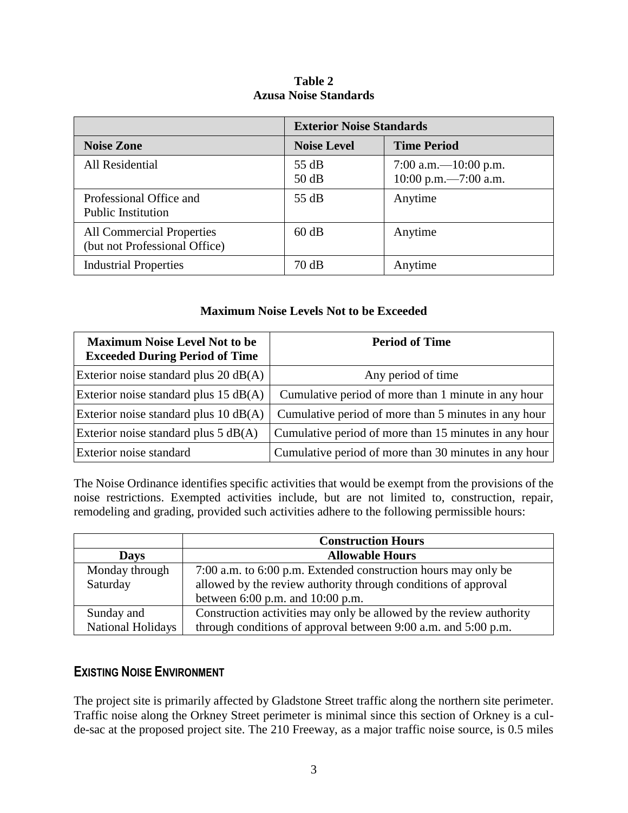#### **Table 2 Azusa Noise Standards**

|                                                                   | <b>Exterior Noise Standards</b> |                                                    |  |
|-------------------------------------------------------------------|---------------------------------|----------------------------------------------------|--|
| <b>Noise Zone</b>                                                 | <b>Noise Level</b>              | <b>Time Period</b>                                 |  |
| All Residential                                                   | 55 dB<br>50 dB                  | 7:00 a.m. $-10:00$ p.m.<br>$10:00$ p.m. -7:00 a.m. |  |
| Professional Office and<br><b>Public Institution</b>              | 55 dB                           | Anytime                                            |  |
| <b>All Commercial Properties</b><br>(but not Professional Office) | 60 dB                           | Anytime                                            |  |
| <b>Industrial Properties</b>                                      | 70 dB                           | Anytime                                            |  |

#### **Maximum Noise Levels Not to be Exceeded**

| <b>Maximum Noise Level Not to be</b><br><b>Exceeded During Period of Time</b> | <b>Period of Time</b>                                 |
|-------------------------------------------------------------------------------|-------------------------------------------------------|
| Exterior noise standard plus $20$ dB(A)                                       | Any period of time                                    |
| Exterior noise standard plus 15 dB(A)                                         | Cumulative period of more than 1 minute in any hour   |
| Exterior noise standard plus $10$ dB(A)                                       | Cumulative period of more than 5 minutes in any hour  |
| Exterior noise standard plus $5 dB(A)$                                        | Cumulative period of more than 15 minutes in any hour |
| Exterior noise standard                                                       | Cumulative period of more than 30 minutes in any hour |

The Noise Ordinance identifies specific activities that would be exempt from the provisions of the noise restrictions. Exempted activities include, but are not limited to, construction, repair, remodeling and grading, provided such activities adhere to the following permissible hours:

|                   | <b>Construction Hours</b>                                           |  |  |
|-------------------|---------------------------------------------------------------------|--|--|
| <b>Days</b>       | <b>Allowable Hours</b>                                              |  |  |
| Monday through    | 7:00 a.m. to 6:00 p.m. Extended construction hours may only be      |  |  |
| Saturday          | allowed by the review authority through conditions of approval      |  |  |
|                   | between 6:00 p.m. and 10:00 p.m.                                    |  |  |
| Sunday and        | Construction activities may only be allowed by the review authority |  |  |
| National Holidays | through conditions of approval between 9:00 a.m. and 5:00 p.m.      |  |  |

# **EXISTING NOISE ENVIRONMENT**

The project site is primarily affected by Gladstone Street traffic along the northern site perimeter. Traffic noise along the Orkney Street perimeter is minimal since this section of Orkney is a culde-sac at the proposed project site. The 210 Freeway, as a major traffic noise source, is 0.5 miles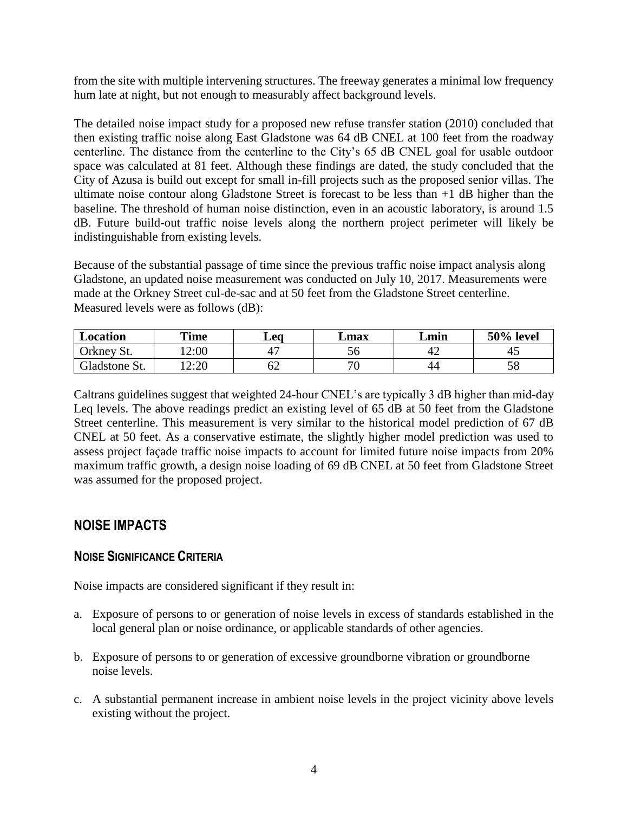from the site with multiple intervening structures. The freeway generates a minimal low frequency hum late at night, but not enough to measurably affect background levels.

The detailed noise impact study for a proposed new refuse transfer station (2010) concluded that then existing traffic noise along East Gladstone was 64 dB CNEL at 100 feet from the roadway centerline. The distance from the centerline to the City's 65 dB CNEL goal for usable outdoor space was calculated at 81 feet. Although these findings are dated, the study concluded that the City of Azusa is build out except for small in-fill projects such as the proposed senior villas. The ultimate noise contour along Gladstone Street is forecast to be less than +1 dB higher than the baseline. The threshold of human noise distinction, even in an acoustic laboratory, is around 1.5 dB. Future build-out traffic noise levels along the northern project perimeter will likely be indistinguishable from existing levels.

Because of the substantial passage of time since the previous traffic noise impact analysis along Gladstone, an updated noise measurement was conducted on July 10, 2017. Measurements were made at the Orkney Street cul-de-sac and at 50 feet from the Gladstone Street centerline. Measured levels were as follows (dB):

| Location             | <b>Time</b>              | $L$ eo | <b>Lmax</b> | Lmin | 50% level |
|----------------------|--------------------------|--------|-------------|------|-----------|
| Orkney,<br>St.       | 2:00                     | 4      | JU          | 4'   | ⊬         |
| <b>Gladstone St.</b> | 2.20<br>4.4 <sub>v</sub> | ٥Z     | חר          | 44   | IJΟ       |

Caltrans guidelines suggest that weighted 24-hour CNEL's are typically 3 dB higher than mid-day Leq levels. The above readings predict an existing level of 65 dB at 50 feet from the Gladstone Street centerline. This measurement is very similar to the historical model prediction of 67 dB CNEL at 50 feet. As a conservative estimate, the slightly higher model prediction was used to assess project façade traffic noise impacts to account for limited future noise impacts from 20% maximum traffic growth, a design noise loading of 69 dB CNEL at 50 feet from Gladstone Street was assumed for the proposed project.

# **NOISE IMPACTS**

### **NOISE SIGNIFICANCE CRITERIA**

Noise impacts are considered significant if they result in:

- a. Exposure of persons to or generation of noise levels in excess of standards established in the local general plan or noise ordinance, or applicable standards of other agencies.
- b. Exposure of persons to or generation of excessive groundborne vibration or groundborne noise levels.
- c. A substantial permanent increase in ambient noise levels in the project vicinity above levels existing without the project.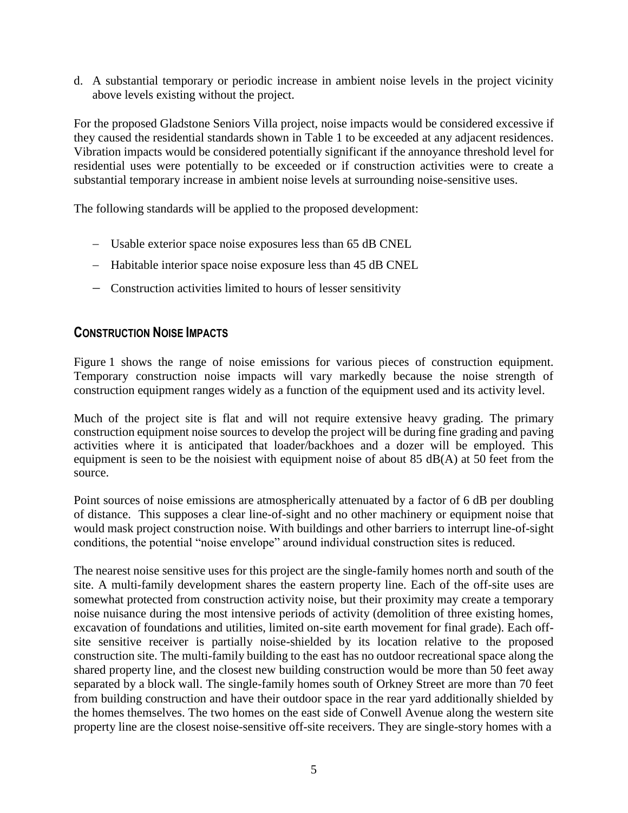d. A substantial temporary or periodic increase in ambient noise levels in the project vicinity above levels existing without the project.

For the proposed Gladstone Seniors Villa project, noise impacts would be considered excessive if they caused the residential standards shown in Table 1 to be exceeded at any adjacent residences. Vibration impacts would be considered potentially significant if the annoyance threshold level for residential uses were potentially to be exceeded or if construction activities were to create a substantial temporary increase in ambient noise levels at surrounding noise-sensitive uses.

The following standards will be applied to the proposed development:

- Usable exterior space noise exposures less than 65 dB CNEL
- Habitable interior space noise exposure less than 45 dB CNEL
- Construction activities limited to hours of lesser sensitivity

# **CONSTRUCTION NOISE IMPACTS**

Figure 1 shows the range of noise emissions for various pieces of construction equipment. Temporary construction noise impacts will vary markedly because the noise strength of construction equipment ranges widely as a function of the equipment used and its activity level.

Much of the project site is flat and will not require extensive heavy grading. The primary construction equipment noise sources to develop the project will be during fine grading and paving activities where it is anticipated that loader/backhoes and a dozer will be employed. This equipment is seen to be the noisiest with equipment noise of about 85 dB(A) at 50 feet from the source.

Point sources of noise emissions are atmospherically attenuated by a factor of 6 dB per doubling of distance. This supposes a clear line-of-sight and no other machinery or equipment noise that would mask project construction noise. With buildings and other barriers to interrupt line-of-sight conditions, the potential "noise envelope" around individual construction sites is reduced.

The nearest noise sensitive uses for this project are the single-family homes north and south of the site. A multi-family development shares the eastern property line. Each of the off-site uses are somewhat protected from construction activity noise, but their proximity may create a temporary noise nuisance during the most intensive periods of activity (demolition of three existing homes, excavation of foundations and utilities, limited on-site earth movement for final grade). Each offsite sensitive receiver is partially noise-shielded by its location relative to the proposed construction site. The multi-family building to the east has no outdoor recreational space along the shared property line, and the closest new building construction would be more than 50 feet away separated by a block wall. The single-family homes south of Orkney Street are more than 70 feet from building construction and have their outdoor space in the rear yard additionally shielded by the homes themselves. The two homes on the east side of Conwell Avenue along the western site property line are the closest noise-sensitive off-site receivers. They are single-story homes with a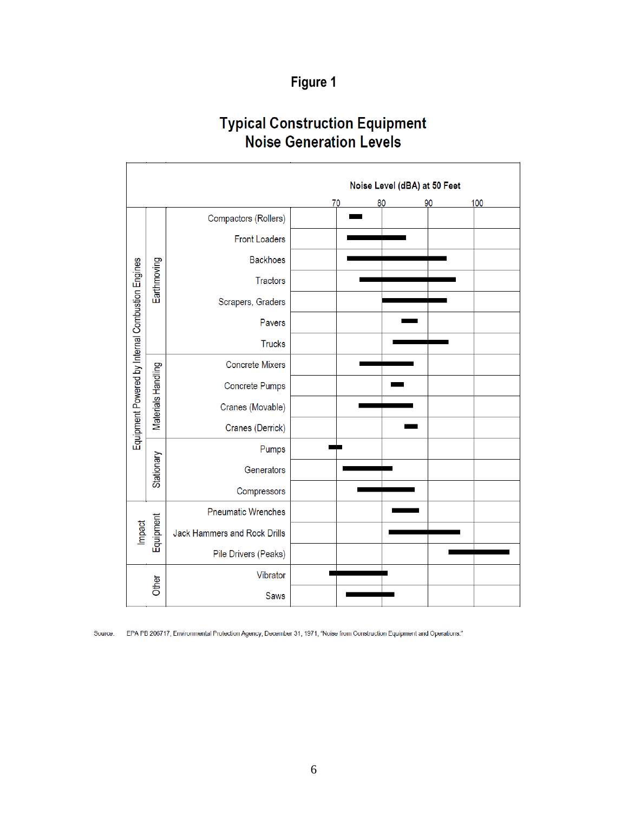# Figure 1

# **Typical Construction Equipment**<br>Noise Generation Levels

|                                                  | Noise Level (dBA) at 50 Feet |                              |    |  |    |    |     |
|--------------------------------------------------|------------------------------|------------------------------|----|--|----|----|-----|
|                                                  |                              |                              | 70 |  | 80 | 90 | 100 |
|                                                  |                              | Compactors (Rollers)         |    |  |    |    |     |
|                                                  |                              | <b>Front Loaders</b>         |    |  |    |    |     |
|                                                  |                              | <b>Backhoes</b>              |    |  |    |    |     |
|                                                  | Earthmoving                  | <b>Tractors</b>              |    |  |    |    |     |
|                                                  |                              | Scrapers, Graders            |    |  |    |    |     |
|                                                  |                              | Pavers                       |    |  |    |    |     |
|                                                  |                              | <b>Trucks</b>                |    |  |    |    |     |
|                                                  |                              | <b>Concrete Mixers</b>       |    |  |    |    |     |
|                                                  |                              | <b>Concrete Pumps</b>        |    |  |    |    |     |
| Equipment Powered by Internal Combustion Engines | Materials Handling           | Cranes (Movable)             |    |  |    |    |     |
|                                                  |                              | Cranes (Derrick)             |    |  |    |    |     |
|                                                  |                              | Pumps                        |    |  |    |    |     |
|                                                  | Stationary                   | Generators                   |    |  |    |    |     |
|                                                  |                              | Compressors                  |    |  |    |    |     |
|                                                  |                              | <b>Pneumatic Wrenches</b>    |    |  |    |    |     |
| Impact                                           | Equipment                    | Jack Hammers and Rock Drills |    |  |    |    |     |
|                                                  |                              | Pile Drivers (Peaks)         |    |  |    |    |     |
|                                                  |                              | Vibrator                     |    |  |    |    |     |
|                                                  | Other                        | <b>Saws</b>                  |    |  |    |    |     |

Source: EPA PB 206717, Environmental Protection Agency, December 31, 1971, "Noise from Construction Equipment and Operations."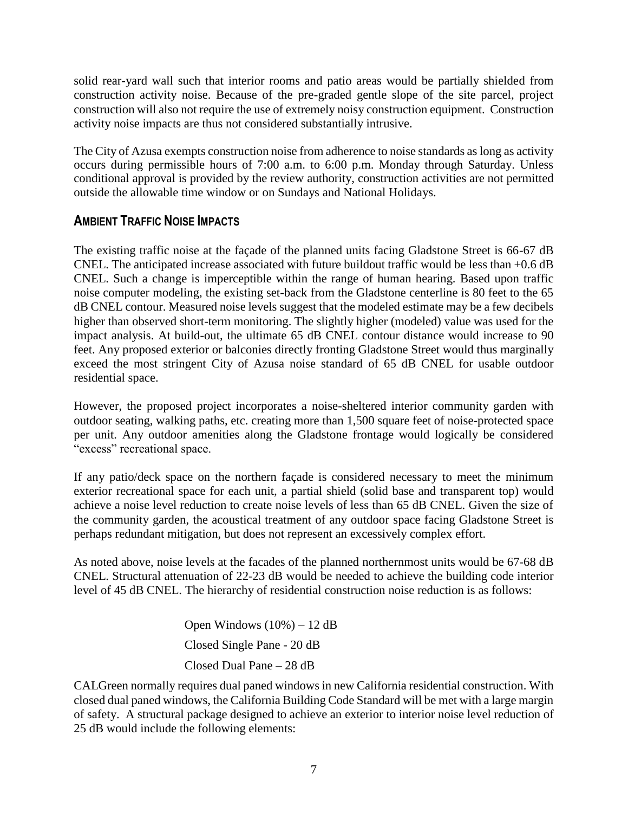solid rear-yard wall such that interior rooms and patio areas would be partially shielded from construction activity noise. Because of the pre-graded gentle slope of the site parcel, project construction will also not require the use of extremely noisy construction equipment. Construction activity noise impacts are thus not considered substantially intrusive.

The City of Azusa exempts construction noise from adherence to noise standards as long as activity occurs during permissible hours of 7:00 a.m. to 6:00 p.m. Monday through Saturday. Unless conditional approval is provided by the review authority, construction activities are not permitted outside the allowable time window or on Sundays and National Holidays.

# **AMBIENT TRAFFIC NOISE IMPACTS**

The existing traffic noise at the façade of the planned units facing Gladstone Street is 66-67 dB CNEL. The anticipated increase associated with future buildout traffic would be less than +0.6 dB CNEL. Such a change is imperceptible within the range of human hearing. Based upon traffic noise computer modeling, the existing set-back from the Gladstone centerline is 80 feet to the 65 dB CNEL contour. Measured noise levels suggest that the modeled estimate may be a few decibels higher than observed short-term monitoring. The slightly higher (modeled) value was used for the impact analysis. At build-out, the ultimate 65 dB CNEL contour distance would increase to 90 feet. Any proposed exterior or balconies directly fronting Gladstone Street would thus marginally exceed the most stringent City of Azusa noise standard of 65 dB CNEL for usable outdoor residential space.

However, the proposed project incorporates a noise-sheltered interior community garden with outdoor seating, walking paths, etc. creating more than 1,500 square feet of noise-protected space per unit. Any outdoor amenities along the Gladstone frontage would logically be considered "excess" recreational space.

If any patio/deck space on the northern façade is considered necessary to meet the minimum exterior recreational space for each unit, a partial shield (solid base and transparent top) would achieve a noise level reduction to create noise levels of less than 65 dB CNEL. Given the size of the community garden, the acoustical treatment of any outdoor space facing Gladstone Street is perhaps redundant mitigation, but does not represent an excessively complex effort.

As noted above, noise levels at the facades of the planned northernmost units would be 67-68 dB CNEL. Structural attenuation of 22-23 dB would be needed to achieve the building code interior level of 45 dB CNEL. The hierarchy of residential construction noise reduction is as follows:

> Open Windows (10%) – 12 dB Closed Single Pane - 20 dB Closed Dual Pane – 28 dB

CALGreen normally requires dual paned windows in new California residential construction. With closed dual paned windows, the California Building Code Standard will be met with a large margin of safety. A structural package designed to achieve an exterior to interior noise level reduction of 25 dB would include the following elements: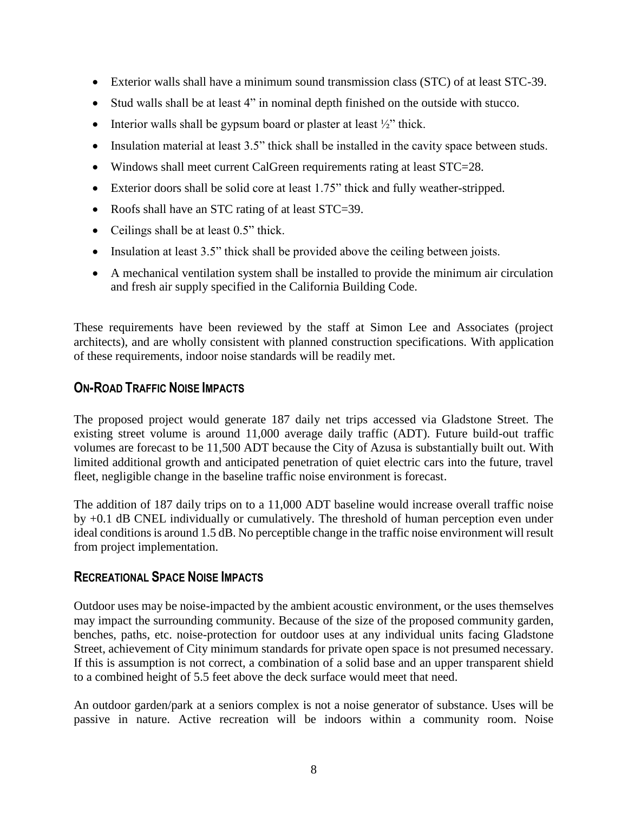- Exterior walls shall have a minimum sound transmission class (STC) of at least STC-39.
- Stud walls shall be at least 4" in nominal depth finished on the outside with stucco.
- Interior walls shall be gypsum board or plaster at least  $\frac{1}{2}$ " thick.
- Insulation material at least 3.5" thick shall be installed in the cavity space between studs.
- Windows shall meet current CalGreen requirements rating at least STC=28.
- Exterior doors shall be solid core at least 1.75" thick and fully weather-stripped.
- Roofs shall have an STC rating of at least STC=39.
- Ceilings shall be at least 0.5" thick.
- Insulation at least 3.5" thick shall be provided above the ceiling between joists.
- A mechanical ventilation system shall be installed to provide the minimum air circulation and fresh air supply specified in the California Building Code.

These requirements have been reviewed by the staff at Simon Lee and Associates (project architects), and are wholly consistent with planned construction specifications. With application of these requirements, indoor noise standards will be readily met.

## **ON-ROAD TRAFFIC NOISE IMPACTS**

The proposed project would generate 187 daily net trips accessed via Gladstone Street. The existing street volume is around 11,000 average daily traffic (ADT). Future build-out traffic volumes are forecast to be 11,500 ADT because the City of Azusa is substantially built out. With limited additional growth and anticipated penetration of quiet electric cars into the future, travel fleet, negligible change in the baseline traffic noise environment is forecast.

The addition of 187 daily trips on to a 11,000 ADT baseline would increase overall traffic noise by +0.1 dB CNEL individually or cumulatively. The threshold of human perception even under ideal conditions is around 1.5 dB. No perceptible change in the traffic noise environment will result from project implementation.

### **RECREATIONAL SPACE NOISE IMPACTS**

Outdoor uses may be noise-impacted by the ambient acoustic environment, or the uses themselves may impact the surrounding community. Because of the size of the proposed community garden, benches, paths, etc. noise-protection for outdoor uses at any individual units facing Gladstone Street, achievement of City minimum standards for private open space is not presumed necessary. If this is assumption is not correct, a combination of a solid base and an upper transparent shield to a combined height of 5.5 feet above the deck surface would meet that need.

An outdoor garden/park at a seniors complex is not a noise generator of substance. Uses will be passive in nature. Active recreation will be indoors within a community room. Noise